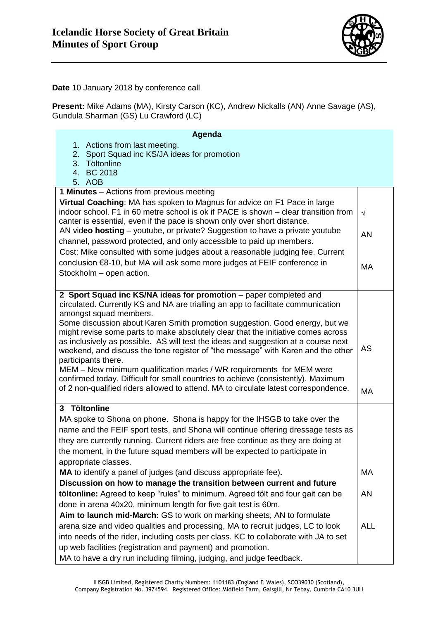

**Date** 10 January 2018 by conference call

**Present:** Mike Adams (MA), Kirsty Carson (KC), Andrew Nickalls (AN) Anne Savage (AS), Gundula Sharman (GS) Lu Crawford (LC)

| Agenda                                                                                                                                                           |            |
|------------------------------------------------------------------------------------------------------------------------------------------------------------------|------------|
| 1. Actions from last meeting.<br>Sport Squad inc KS/JA ideas for promotion<br>2.                                                                                 |            |
| 3 <sub>1</sub><br>Töltonline                                                                                                                                     |            |
| 4. BC 2018                                                                                                                                                       |            |
| 5. AOB                                                                                                                                                           |            |
| <b>1 Minutes</b> – Actions from previous meeting                                                                                                                 |            |
| Virtual Coaching: MA has spoken to Magnus for advice on F1 Pace in large                                                                                         |            |
| indoor school. F1 in 60 metre school is ok if PACE is shown - clear transition from                                                                              | $\sqrt{ }$ |
| canter is essential, even if the pace is shown only over short distance.                                                                                         |            |
| AN video hosting - youtube, or private? Suggestion to have a private youtube                                                                                     | AN         |
| channel, password protected, and only accessible to paid up members.                                                                                             |            |
| Cost: Mike consulted with some judges about a reasonable judging fee. Current                                                                                    |            |
| conclusion €8-10, but MA will ask some more judges at FEIF conference in                                                                                         | <b>MA</b>  |
| Stockholm - open action.                                                                                                                                         |            |
|                                                                                                                                                                  |            |
| 2 Sport Squad inc KS/NA ideas for promotion - paper completed and                                                                                                |            |
| circulated. Currently KS and NA are trialling an app to facilitate communication                                                                                 |            |
| amongst squad members.                                                                                                                                           |            |
| Some discussion about Karen Smith promotion suggestion. Good energy, but we<br>might revise some parts to make absolutely clear that the initiative comes across |            |
| as inclusively as possible. AS will test the ideas and suggestion at a course next                                                                               |            |
| weekend, and discuss the tone register of "the message" with Karen and the other                                                                                 | AS         |
| participants there.                                                                                                                                              |            |
| MEM - New minimum qualification marks / WR requirements for MEM were                                                                                             |            |
| confirmed today. Difficult for small countries to achieve (consistently). Maximum                                                                                |            |
| of 2 non-qualified riders allowed to attend. MA to circulate latest correspondence.                                                                              | MA         |
| 3 Töltonline                                                                                                                                                     |            |
| MA spoke to Shona on phone. Shona is happy for the IHSGB to take over the                                                                                        |            |
| name and the FEIF sport tests, and Shona will continue offering dressage tests as                                                                                |            |
| they are currently running. Current riders are free continue as they are doing at                                                                                |            |
| the moment, in the future squad members will be expected to participate in                                                                                       |            |
| appropriate classes.                                                                                                                                             |            |
| MA to identify a panel of judges (and discuss appropriate fee).                                                                                                  | МA         |
| Discussion on how to manage the transition between current and future                                                                                            |            |
|                                                                                                                                                                  |            |
| töltonline: Agreed to keep "rules" to minimum. Agreed tölt and four gait can be                                                                                  | AN         |
| done in arena 40x20, minimum length for five gait test is 60m.                                                                                                   |            |
| Aim to launch mid-March: GS to work on marking sheets, AN to formulate                                                                                           |            |
| arena size and video qualities and processing, MA to recruit judges, LC to look                                                                                  | <b>ALL</b> |
| into needs of the rider, including costs per class. KC to collaborate with JA to set                                                                             |            |
| up web facilities (registration and payment) and promotion.                                                                                                      |            |
| MA to have a dry run including filming, judging, and judge feedback.                                                                                             |            |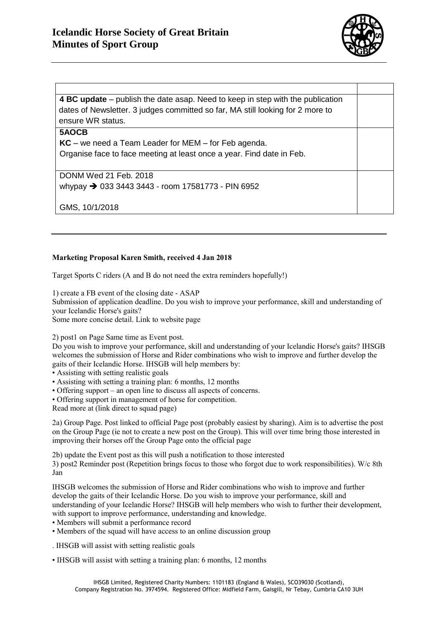

**4 BC update** – publish the date asap. Need to keep in step with the publication dates of Newsletter. 3 judges committed so far, MA still looking for 2 more to ensure WR status. **5AOCB** 

**KC** – we need a Team Leader for MEM – for Feb agenda. Organise face to face meeting at least once a year. Find date in Feb.

DONM Wed 21 Feb. 2018 whypay  $\rightarrow$  033 3443 3443 - room 17581773 - PIN 6952

GMS, 10/1/2018

## **Marketing Proposal Karen Smith, received 4 Jan 2018**

Target Sports C riders (A and B do not need the extra reminders hopefully!)

1) create a FB event of the closing date - ASAP

Submission of application deadline. Do you wish to improve your performance, skill and understanding of your Icelandic Horse's gaits?

Some more concise detail. Link to website page

2) post1 on Page Same time as Event post.

Do you wish to improve your performance, skill and understanding of your Icelandic Horse's gaits? IHSGB welcomes the submission of Horse and Rider combinations who wish to improve and further develop the gaits of their Icelandic Horse. IHSGB will help members by:

• Assisting with setting realistic goals

- Assisting with setting a training plan: 6 months, 12 months
- Offering support an open line to discuss all aspects of concerns.
- Offering support in management of horse for competition.

Read more at (link direct to squad page)

2a) Group Page. Post linked to official Page post (probably easiest by sharing). Aim is to advertise the post on the Group Page (ie not to create a new post on the Group). This will over time bring those interested in improving their horses off the Group Page onto the official page

2b) update the Event post as this will push a notification to those interested

3) post2 Reminder post (Repetition brings focus to those who forgot due to work responsibilities). W/c 8th Jan

IHSGB welcomes the submission of Horse and Rider combinations who wish to improve and further develop the gaits of their Icelandic Horse. Do you wish to improve your performance, skill and understanding of your Icelandic Horse? IHSGB will help members who wish to further their development, with support to improve performance, understanding and knowledge.

- Members will submit a performance record
- Members of the squad will have access to an online discussion group
- . IHSGB will assist with setting realistic goals
- IHSGB will assist with setting a training plan: 6 months, 12 months